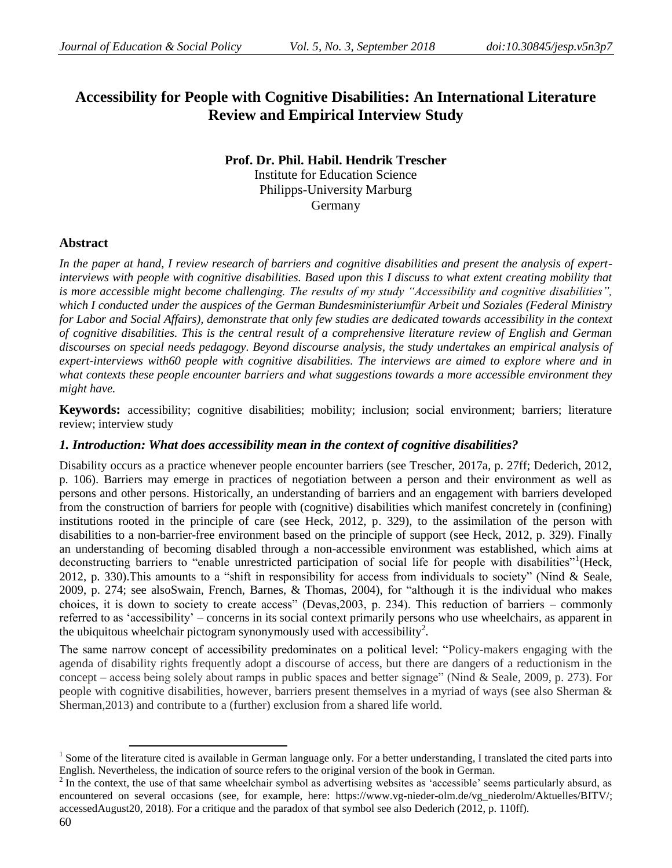# **Accessibility for People with Cognitive Disabilities: An International Literature Review and Empirical Interview Study**

## **Prof. Dr. Phil. Habil. Hendrik Trescher** Institute for Education Science Philipps-University Marburg Germany

# **Abstract**

*In the paper at hand, I review research of barriers and cognitive disabilities and present the analysis of expertinterviews with people with cognitive disabilities. Based upon this I discuss to what extent creating mobility that is more accessible might become challenging. The results of my study "Accessibility and cognitive disabilities", which I conducted under the auspices of the German Bundesministeriumfür Arbeit und Soziales (Federal Ministry for Labor and Social Affairs), demonstrate that only few studies are dedicated towards accessibility in the context of cognitive disabilities. This is the central result of a comprehensive literature review of English and German discourses on special needs pedagogy. Beyond discourse analysis, the study undertakes an empirical analysis of expert-interviews with60 people with cognitive disabilities. The interviews are aimed to explore where and in what contexts these people encounter barriers and what suggestions towards a more accessible environment they might have.*

**Keywords:** accessibility; cognitive disabilities; mobility; inclusion; social environment; barriers; literature review; interview study

## *1. Introduction: What does accessibility mean in the context of cognitive disabilities?*

Disability occurs as a practice whenever people encounter barriers (see Trescher, 2017a, p. 27ff; Dederich, 2012, p. 106). Barriers may emerge in practices of negotiation between a person and their environment as well as persons and other persons. Historically, an understanding of barriers and an engagement with barriers developed from the construction of barriers for people with (cognitive) disabilities which manifest concretely in (confining) institutions rooted in the principle of care (see Heck, 2012, p. 329), to the assimilation of the person with disabilities to a non-barrier-free environment based on the principle of support (see Heck, 2012, p. 329). Finally an understanding of becoming disabled through a non-accessible environment was established, which aims at deconstructing barriers to "enable unrestricted participation of social life for people with disabilities"<sup>1</sup>(Heck, 2012, p. 330).This amounts to a "shift in responsibility for access from individuals to society" (Nind & Seale, 2009, p. 274; see alsoSwain, French, Barnes, & Thomas, 2004), for "although it is the individual who makes choices, it is down to society to create access" (Devas,2003, p. 234). This reduction of barriers – commonly referred to as "accessibility" – concerns in its social context primarily persons who use wheelchairs, as apparent in the ubiquitous wheelchair pictogram synonymously used with accessibility<sup>2</sup>.

The same narrow concept of accessibility predominates on a political level: "Policy-makers engaging with the agenda of disability rights frequently adopt a discourse of access, but there are dangers of a reductionism in the concept – access being solely about ramps in public spaces and better signage" (Nind & Seale, 2009, p. 273). For people with cognitive disabilities, however, barriers present themselves in a myriad of ways (see also Sherman & Sherman,2013) and contribute to a (further) exclusion from a shared life world.

 $\overline{\phantom{a}}$ 

 $1$  Some of the literature cited is available in German language only. For a better understanding, I translated the cited parts into English. Nevertheless, the indication of source refers to the original version of the book in German.

 $2 \text{ In the context, the use of that same wheelchair symbol as advertising websites as 'accessible' seems particularly absurd, as }$ encountered on several occasions (see, for example, here: [https://www.vg-nieder-olm.de/vg\\_niederolm/Aktuelles/BITV/;](https://www.vg-nieder-olm.de/vg_niederolm/Aktuelles/BITV/) accessedAugust20, 2018). For a critique and the paradox of that symbol see also Dederich (2012, p. 110ff).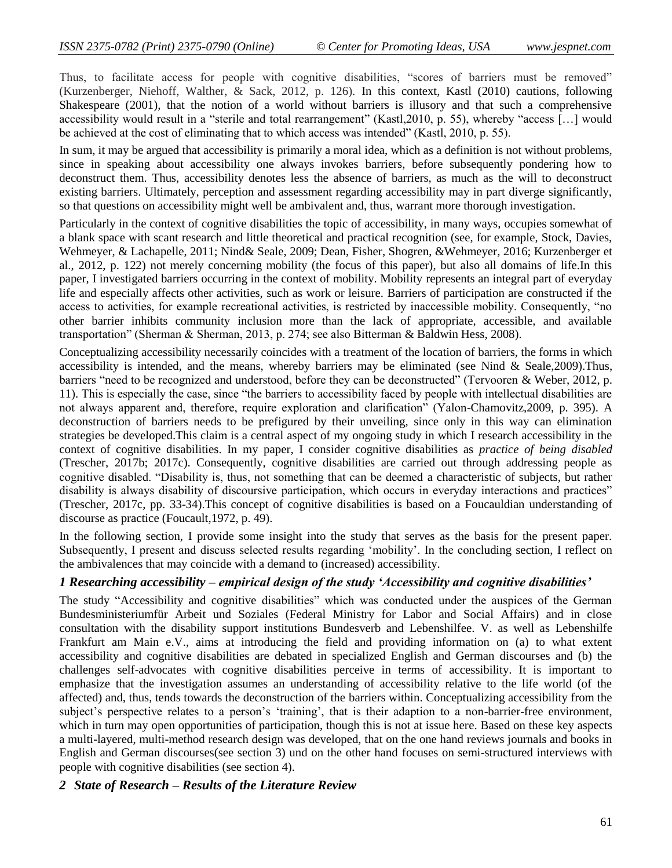Thus, to facilitate access for people with cognitive disabilities, "scores of barriers must be removed" (Kurzenberger, Niehoff, Walther, & Sack, 2012, p. 126). In this context, Kastl (2010) cautions, following Shakespeare (2001), that the notion of a world without barriers is illusory and that such a comprehensive accessibility would result in a "sterile and total rearrangement" (Kastl,2010, p. 55), whereby "access [...] would be achieved at the cost of eliminating that to which access was intended" (Kastl, 2010, p. 55).

In sum, it may be argued that accessibility is primarily a moral idea, which as a definition is not without problems, since in speaking about accessibility one always invokes barriers, before subsequently pondering how to deconstruct them. Thus, accessibility denotes less the absence of barriers, as much as the will to deconstruct existing barriers. Ultimately, perception and assessment regarding accessibility may in part diverge significantly, so that questions on accessibility might well be ambivalent and, thus, warrant more thorough investigation.

Particularly in the context of cognitive disabilities the topic of accessibility, in many ways, occupies somewhat of a blank space with scant research and little theoretical and practical recognition (see, for example, Stock, Davies, Wehmeyer, & Lachapelle, 2011; Nind& Seale, 2009; Dean, Fisher, Shogren, &Wehmeyer, 2016; Kurzenberger et al., 2012, p. 122) not merely concerning mobility (the focus of this paper), but also all domains of life.In this paper, I investigated barriers occurring in the context of mobility. Mobility represents an integral part of everyday life and especially affects other activities, such as work or leisure. Barriers of participation are constructed if the access to activities, for example recreational activities, is restricted by inaccessible mobility. Consequently, "no other barrier inhibits community inclusion more than the lack of appropriate, accessible, and available transportation" (Sherman & Sherman, 2013, p. 274; see also Bitterman & Baldwin Hess, 2008).

Conceptualizing accessibility necessarily coincides with a treatment of the location of barriers, the forms in which accessibility is intended, and the means, whereby barriers may be eliminated (see Nind & Seale,2009).Thus, barriers "need to be recognized and understood, before they can be deconstructed" (Tervooren & Weber, 2012, p. 11). This is especially the case, since "the barriers to accessibility faced by people with intellectual disabilities are not always apparent and, therefore, require exploration and clarification" (Yalon-Chamovitz,2009, p. 395). A deconstruction of barriers needs to be prefigured by their unveiling, since only in this way can elimination strategies be developed.This claim is a central aspect of my ongoing study in which I research accessibility in the context of cognitive disabilities. In my paper, I consider cognitive disabilities as *practice of being disabled* (Trescher, 2017b; 2017c). Consequently, cognitive disabilities are carried out through addressing people as cognitive disabled. "Disability is, thus, not something that can be deemed a characteristic of subjects, but rather disability is always disability of discoursive participation, which occurs in everyday interactions and practices" (Trescher, 2017c, pp. 33-34).This concept of cognitive disabilities is based on a Foucauldian understanding of discourse as practice (Foucault,1972, p. 49).

In the following section, I provide some insight into the study that serves as the basis for the present paper. Subsequently, I present and discuss selected results regarding "mobility". In the concluding section, I reflect on the ambivalences that may coincide with a demand to (increased) accessibility.

## *1 Researching accessibility – empirical design of the study 'Accessibility and cognitive disabilities'*

The study "Accessibility and cognitive disabilities" which was conducted under the auspices of the German Bundesministeriumfür Arbeit und Soziales (Federal Ministry for Labor and Social Affairs) and in close consultation with the disability support institutions Bundesverb and Lebenshilfee. V. as well as Lebenshilfe Frankfurt am Main e.V., aims at introducing the field and providing information on (a) to what extent accessibility and cognitive disabilities are debated in specialized English and German discourses and (b) the challenges self-advocates with cognitive disabilities perceive in terms of accessibility. It is important to emphasize that the investigation assumes an understanding of accessibility relative to the life world (of the affected) and, thus, tends towards the deconstruction of the barriers within. Conceptualizing accessibility from the subject's perspective relates to a person's 'training', that is their adaption to a non-barrier-free environment, which in turn may open opportunities of participation, though this is not at issue here. Based on these key aspects a multi-layered, multi-method research design was developed, that on the one hand reviews journals and books in English and German discourses(see section 3) und on the other hand focuses on semi-structured interviews with people with cognitive disabilities (see section 4).

#### *2 State of Research – Results of the Literature Review*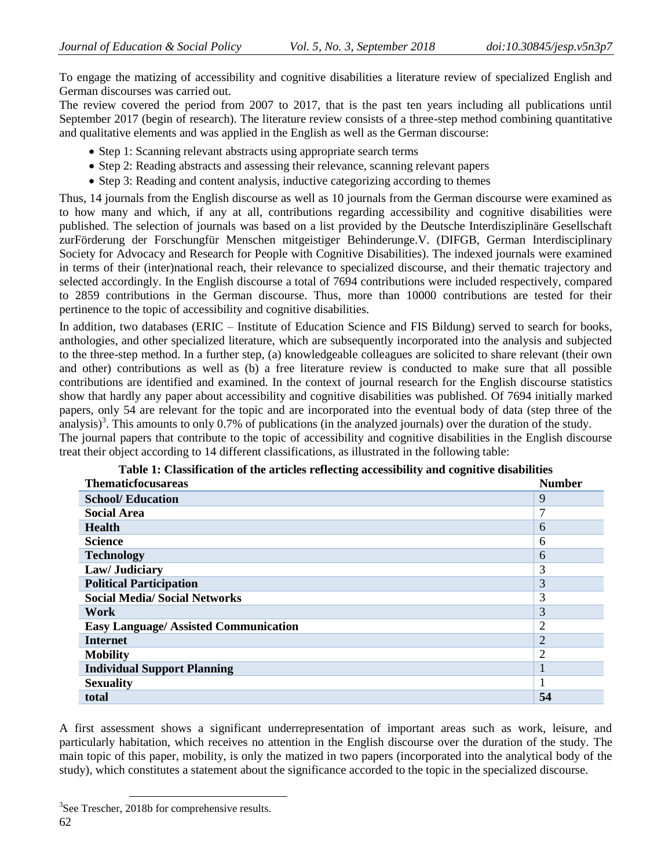To engage the matizing of accessibility and cognitive disabilities a literature review of specialized English and German discourses was carried out.

The review covered the period from 2007 to 2017, that is the past ten years including all publications until September 2017 (begin of research). The literature review consists of a three-step method combining quantitative and qualitative elements and was applied in the English as well as the German discourse:

- Step 1: Scanning relevant abstracts using appropriate search terms
- Step 2: Reading abstracts and assessing their relevance, scanning relevant papers
- Step 3: Reading and content analysis, inductive categorizing according to themes

Thus, 14 journals from the English discourse as well as 10 journals from the German discourse were examined as to how many and which, if any at all, contributions regarding accessibility and cognitive disabilities were published. The selection of journals was based on a list provided by the Deutsche Interdisziplinäre Gesellschaft zurFörderung der Forschungfür Menschen mitgeistiger Behinderunge.V. (DIFGB, German Interdisciplinary Society for Advocacy and Research for People with Cognitive Disabilities). The indexed journals were examined in terms of their (inter)national reach, their relevance to specialized discourse, and their thematic trajectory and selected accordingly. In the English discourse a total of 7694 contributions were included respectively, compared to 2859 contributions in the German discourse. Thus, more than 10000 contributions are tested for their pertinence to the topic of accessibility and cognitive disabilities.

In addition, two databases (ERIC – Institute of Education Science and FIS Bildung) served to search for books, anthologies, and other specialized literature, which are subsequently incorporated into the analysis and subjected to the three-step method. In a further step, (a) knowledgeable colleagues are solicited to share relevant (their own and other) contributions as well as (b) a free literature review is conducted to make sure that all possible contributions are identified and examined. In the context of journal research for the English discourse statistics show that hardly any paper about accessibility and cognitive disabilities was published. Of 7694 initially marked papers, only 54 are relevant for the topic and are incorporated into the eventual body of data (step three of the analysis)<sup>3</sup>. This amounts to only 0.7% of publications (in the analyzed journals) over the duration of the study. The journal papers that contribute to the topic of accessibility and cognitive disabilities in the English discourse

treat their object according to 14 different classifications, as illustrated in the following table:

| <b>Thematicfocusareas</b>                   | <b>Number</b>  |
|---------------------------------------------|----------------|
| <b>School/ Education</b>                    | 9              |
| <b>Social Area</b>                          | 7              |
| <b>Health</b>                               | 6              |
| <b>Science</b>                              | 6              |
| <b>Technology</b>                           | 6              |
| Law/ Judiciary                              | 3              |
| <b>Political Participation</b>              | 3              |
| <b>Social Media/ Social Networks</b>        | 3              |
| Work                                        | 3              |
| <b>Easy Language/Assisted Communication</b> | $\overline{2}$ |
| <b>Internet</b>                             | $\overline{2}$ |
| <b>Mobility</b>                             | $\overline{2}$ |
| <b>Individual Support Planning</b>          |                |
| <b>Sexuality</b>                            |                |
| total                                       | 54             |

**Table 1: Classification of the articles reflecting accessibility and cognitive disabilities**

A first assessment shows a significant underrepresentation of important areas such as work, leisure, and particularly habitation, which receives no attention in the English discourse over the duration of the study. The main topic of this paper, mobility, is only the matized in two papers (incorporated into the analytical body of the study), which constitutes a statement about the significance accorded to the topic in the specialized discourse.

l

 $3$ See Trescher, 2018b for comprehensive results.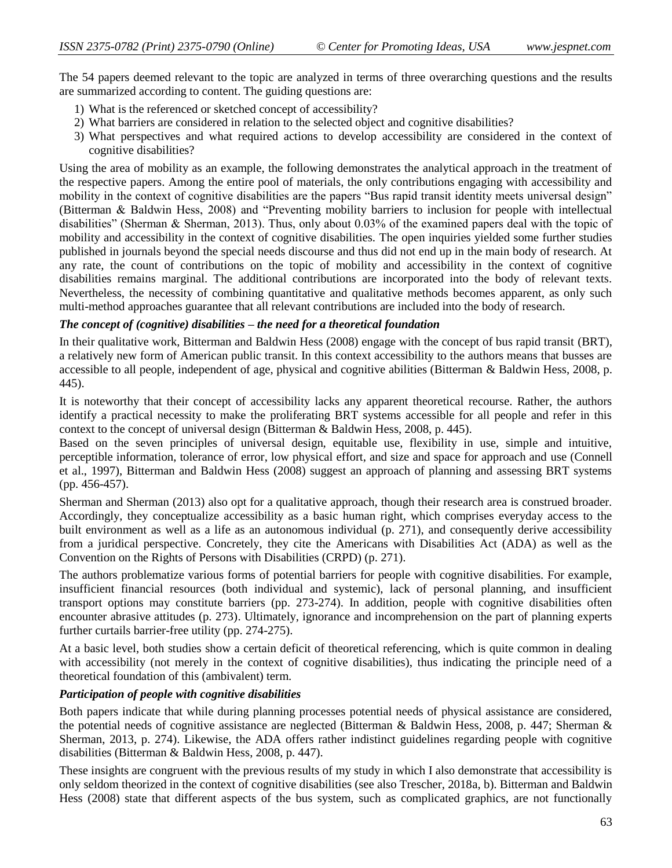The 54 papers deemed relevant to the topic are analyzed in terms of three overarching questions and the results are summarized according to content. The guiding questions are:

- 1) What is the referenced or sketched concept of accessibility?
- 2) What barriers are considered in relation to the selected object and cognitive disabilities?
- 3) What perspectives and what required actions to develop accessibility are considered in the context of cognitive disabilities?

Using the area of mobility as an example, the following demonstrates the analytical approach in the treatment of the respective papers. Among the entire pool of materials, the only contributions engaging with accessibility and mobility in the context of cognitive disabilities are the papers "Bus rapid transit identity meets universal design" (Bitterman & Baldwin Hess, 2008) and "Preventing mobility barriers to inclusion for people with intellectual disabilities" (Sherman & Sherman, 2013). Thus, only about 0.03% of the examined papers deal with the topic of mobility and accessibility in the context of cognitive disabilities. The open inquiries yielded some further studies published in journals beyond the special needs discourse and thus did not end up in the main body of research. At any rate, the count of contributions on the topic of mobility and accessibility in the context of cognitive disabilities remains marginal. The additional contributions are incorporated into the body of relevant texts. Nevertheless, the necessity of combining quantitative and qualitative methods becomes apparent, as only such multi-method approaches guarantee that all relevant contributions are included into the body of research.

#### *The concept of (cognitive) disabilities – the need for a theoretical foundation*

In their qualitative work, Bitterman and Baldwin Hess (2008) engage with the concept of bus rapid transit (BRT), a relatively new form of American public transit. In this context accessibility to the authors means that busses are accessible to all people, independent of age, physical and cognitive abilities (Bitterman & Baldwin Hess, 2008, p. 445).

It is noteworthy that their concept of accessibility lacks any apparent theoretical recourse. Rather, the authors identify a practical necessity to make the proliferating BRT systems accessible for all people and refer in this context to the concept of universal design (Bitterman & Baldwin Hess, 2008, p. 445).

Based on the seven principles of universal design, equitable use, flexibility in use, simple and intuitive, perceptible information, tolerance of error, low physical effort, and size and space for approach and use (Connell et al., 1997), Bitterman and Baldwin Hess (2008) suggest an approach of planning and assessing BRT systems (pp. 456-457).

Sherman and Sherman (2013) also opt for a qualitative approach, though their research area is construed broader. Accordingly, they conceptualize accessibility as a basic human right, which comprises everyday access to the built environment as well as a life as an autonomous individual (p. 271), and consequently derive accessibility from a juridical perspective. Concretely, they cite the Americans with Disabilities Act (ADA) as well as the Convention on the Rights of Persons with Disabilities (CRPD) (p. 271).

The authors problematize various forms of potential barriers for people with cognitive disabilities. For example, insufficient financial resources (both individual and systemic), lack of personal planning, and insufficient transport options may constitute barriers (pp. 273-274). In addition, people with cognitive disabilities often encounter abrasive attitudes (p. 273). Ultimately, ignorance and incomprehension on the part of planning experts further curtails barrier-free utility (pp. 274-275).

At a basic level, both studies show a certain deficit of theoretical referencing, which is quite common in dealing with accessibility (not merely in the context of cognitive disabilities), thus indicating the principle need of a theoretical foundation of this (ambivalent) term.

#### *Participation of people with cognitive disabilities*

Both papers indicate that while during planning processes potential needs of physical assistance are considered, the potential needs of cognitive assistance are neglected (Bitterman & Baldwin Hess, 2008, p. 447; Sherman & Sherman, 2013, p. 274). Likewise, the ADA offers rather indistinct guidelines regarding people with cognitive disabilities (Bitterman & Baldwin Hess, 2008, p. 447).

These insights are congruent with the previous results of my study in which I also demonstrate that accessibility is only seldom theorized in the context of cognitive disabilities (see also Trescher, 2018a, b). Bitterman and Baldwin Hess (2008) state that different aspects of the bus system, such as complicated graphics, are not functionally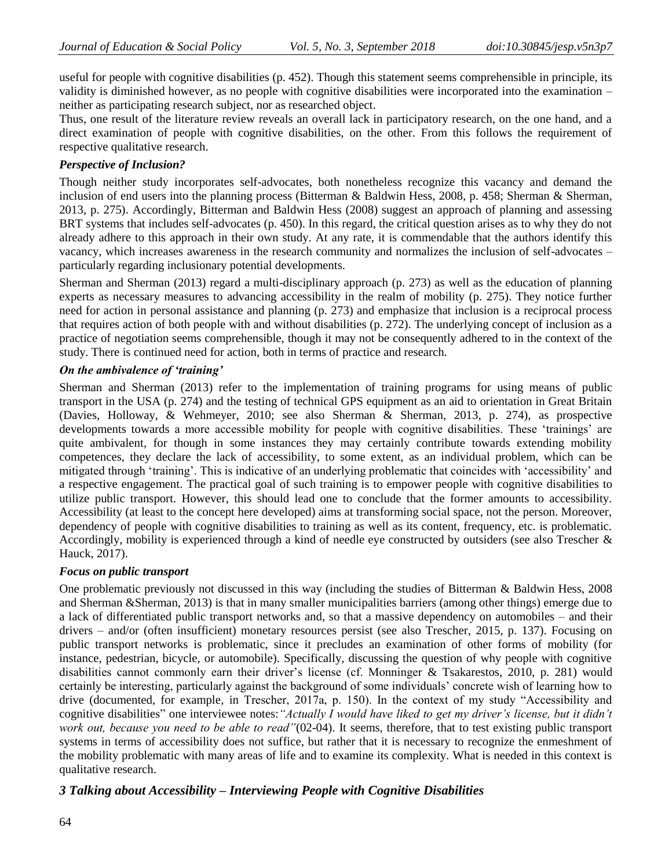useful for people with cognitive disabilities (p. 452). Though this statement seems comprehensible in principle, its validity is diminished however, as no people with cognitive disabilities were incorporated into the examination – neither as participating research subject, nor as researched object.

Thus, one result of the literature review reveals an overall lack in participatory research, on the one hand, and a direct examination of people with cognitive disabilities, on the other. From this follows the requirement of respective qualitative research.

#### *Perspective of Inclusion?*

Though neither study incorporates self-advocates, both nonetheless recognize this vacancy and demand the inclusion of end users into the planning process (Bitterman & Baldwin Hess, 2008, p. 458; Sherman & Sherman, 2013, p. 275). Accordingly, Bitterman and Baldwin Hess (2008) suggest an approach of planning and assessing BRT systems that includes self-advocates (p. 450). In this regard, the critical question arises as to why they do not already adhere to this approach in their own study. At any rate, it is commendable that the authors identify this vacancy, which increases awareness in the research community and normalizes the inclusion of self-advocates – particularly regarding inclusionary potential developments.

Sherman and Sherman (2013) regard a multi-disciplinary approach (p. 273) as well as the education of planning experts as necessary measures to advancing accessibility in the realm of mobility (p. 275). They notice further need for action in personal assistance and planning (p. 273) and emphasize that inclusion is a reciprocal process that requires action of both people with and without disabilities (p. 272). The underlying concept of inclusion as a practice of negotiation seems comprehensible, though it may not be consequently adhered to in the context of the study. There is continued need for action, both in terms of practice and research.

#### *On the ambivalence of 'training'*

Sherman and Sherman (2013) refer to the implementation of training programs for using means of public transport in the USA (p. 274) and the testing of technical GPS equipment as an aid to orientation in Great Britain (Davies, Holloway, & Wehmeyer, 2010; see also Sherman & Sherman, 2013, p. 274), as prospective developments towards a more accessible mobility for people with cognitive disabilities. These 'trainings' are quite ambivalent, for though in some instances they may certainly contribute towards extending mobility competences, they declare the lack of accessibility, to some extent, as an individual problem, which can be mitigated through "training". This is indicative of an underlying problematic that coincides with "accessibility" and a respective engagement. The practical goal of such training is to empower people with cognitive disabilities to utilize public transport. However, this should lead one to conclude that the former amounts to accessibility. Accessibility (at least to the concept here developed) aims at transforming social space, not the person. Moreover, dependency of people with cognitive disabilities to training as well as its content, frequency, etc. is problematic. Accordingly, mobility is experienced through a kind of needle eye constructed by outsiders (see also Trescher & Hauck, 2017).

#### *Focus on public transport*

One problematic previously not discussed in this way (including the studies of Bitterman & Baldwin Hess, 2008 and Sherman &Sherman, 2013) is that in many smaller municipalities barriers (among other things) emerge due to a lack of differentiated public transport networks and, so that a massive dependency on automobiles – and their drivers – and/or (often insufficient) monetary resources persist (see also Trescher, 2015, p. 137). Focusing on public transport networks is problematic, since it precludes an examination of other forms of mobility (for instance, pedestrian, bicycle, or automobile). Specifically, discussing the question of why people with cognitive disabilities cannot commonly earn their driver"s license (cf. Monninger & Tsakarestos, 2010, p. 281) would certainly be interesting, particularly against the background of some individuals" concrete wish of learning how to drive (documented, for example, in Trescher, 2017a, p. 150). In the context of my study "Accessibility and cognitive disabilities" one interviewee notes:*"Actually I would have liked to get my driver"s license, but it didn"t work out, because you need to be able to read"*(02-04). It seems, therefore, that to test existing public transport systems in terms of accessibility does not suffice, but rather that it is necessary to recognize the enmeshment of the mobility problematic with many areas of life and to examine its complexity. What is needed in this context is qualitative research.

## *3 Talking about Accessibility – Interviewing People with Cognitive Disabilities*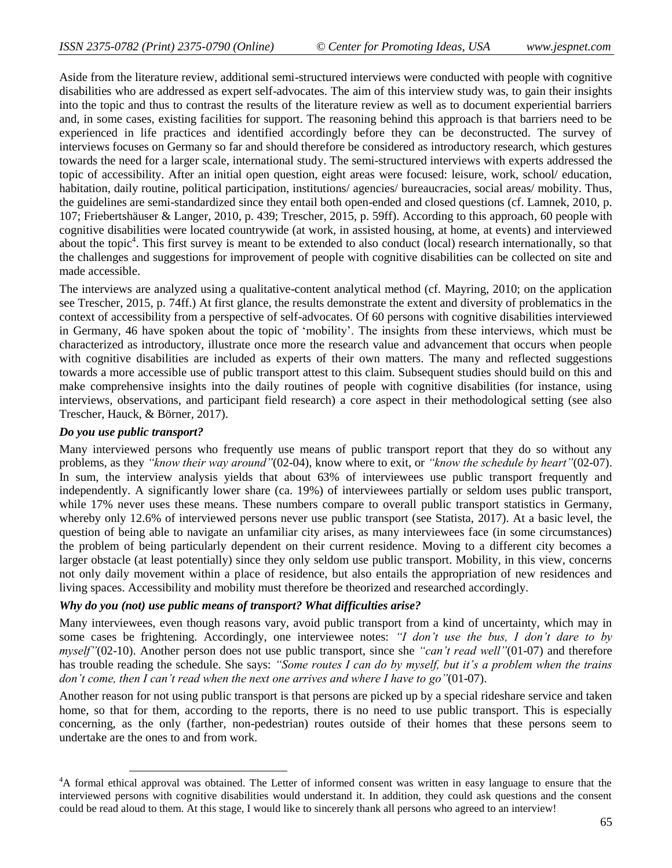Aside from the literature review, additional semi-structured interviews were conducted with people with cognitive disabilities who are addressed as expert self-advocates. The aim of this interview study was, to gain their insights into the topic and thus to contrast the results of the literature review as well as to document experiential barriers and, in some cases, existing facilities for support. The reasoning behind this approach is that barriers need to be experienced in life practices and identified accordingly before they can be deconstructed. The survey of interviews focuses on Germany so far and should therefore be considered as introductory research, which gestures towards the need for a larger scale, international study. The semi-structured interviews with experts addressed the topic of accessibility. After an initial open question, eight areas were focused: leisure, work, school/ education, habitation, daily routine, political participation, institutions/ agencies/ bureaucracies, social areas/ mobility. Thus, the guidelines are semi-standardized since they entail both open-ended and closed questions (cf. Lamnek, 2010, p. 107; Friebertshäuser & Langer, 2010, p. 439; Trescher, 2015, p. 59ff). According to this approach, 60 people with cognitive disabilities were located countrywide (at work, in assisted housing, at home, at events) and interviewed about the topic<sup>4</sup>. This first survey is meant to be extended to also conduct (local) research internationally, so that the challenges and suggestions for improvement of people with cognitive disabilities can be collected on site and made accessible.

The interviews are analyzed using a qualitative-content analytical method (cf. Mayring, 2010; on the application see Trescher, 2015, p. 74ff.) At first glance, the results demonstrate the extent and diversity of problematics in the context of accessibility from a perspective of self-advocates. Of 60 persons with cognitive disabilities interviewed in Germany, 46 have spoken about the topic of "mobility". The insights from these interviews, which must be characterized as introductory, illustrate once more the research value and advancement that occurs when people with cognitive disabilities are included as experts of their own matters. The many and reflected suggestions towards a more accessible use of public transport attest to this claim. Subsequent studies should build on this and make comprehensive insights into the daily routines of people with cognitive disabilities (for instance, using interviews, observations, and participant field research) a core aspect in their methodological setting (see also Trescher, Hauck, & Börner, 2017).

#### *Do you use public transport?*

 $\overline{\phantom{a}}$ 

Many interviewed persons who frequently use means of public transport report that they do so without any problems, as they *"know their way around"*(02-04), know where to exit, or *"know the schedule by heart"*(02-07). In sum, the interview analysis yields that about 63% of interviewees use public transport frequently and independently. A significantly lower share (ca. 19%) of interviewees partially or seldom uses public transport, while 17% never uses these means. These numbers compare to overall public transport statistics in Germany, whereby only 12.6% of interviewed persons never use public transport (see Statista, 2017). At a basic level, the question of being able to navigate an unfamiliar city arises, as many interviewees face (in some circumstances) the problem of being particularly dependent on their current residence. Moving to a different city becomes a larger obstacle (at least potentially) since they only seldom use public transport. Mobility, in this view, concerns not only daily movement within a place of residence, but also entails the appropriation of new residences and living spaces. Accessibility and mobility must therefore be theorized and researched accordingly.

#### *Why do you (not) use public means of transport? What difficulties arise?*

Many interviewees, even though reasons vary, avoid public transport from a kind of uncertainty, which may in some cases be frightening. Accordingly, one interviewee notes: *"I don"t use the bus, I don"t dare to by myself"*(02-10). Another person does not use public transport, since she *"can"t read well"*(01-07) and therefore has trouble reading the schedule. She says: *"Some routes I can do by myself, but it's a problem when the trains don"t come, then I can"t read when the next one arrives and where I have to go"*(01-07).

Another reason for not using public transport is that persons are picked up by a special rideshare service and taken home, so that for them, according to the reports, there is no need to use public transport. This is especially concerning, as the only (farther, non-pedestrian) routes outside of their homes that these persons seem to undertake are the ones to and from work.

<sup>4</sup>A formal ethical approval was obtained. The Letter of informed consent was written in easy language to ensure that the interviewed persons with cognitive disabilities would understand it. In addition, they could ask questions and the consent could be read aloud to them. At this stage, I would like to sincerely thank all persons who agreed to an interview!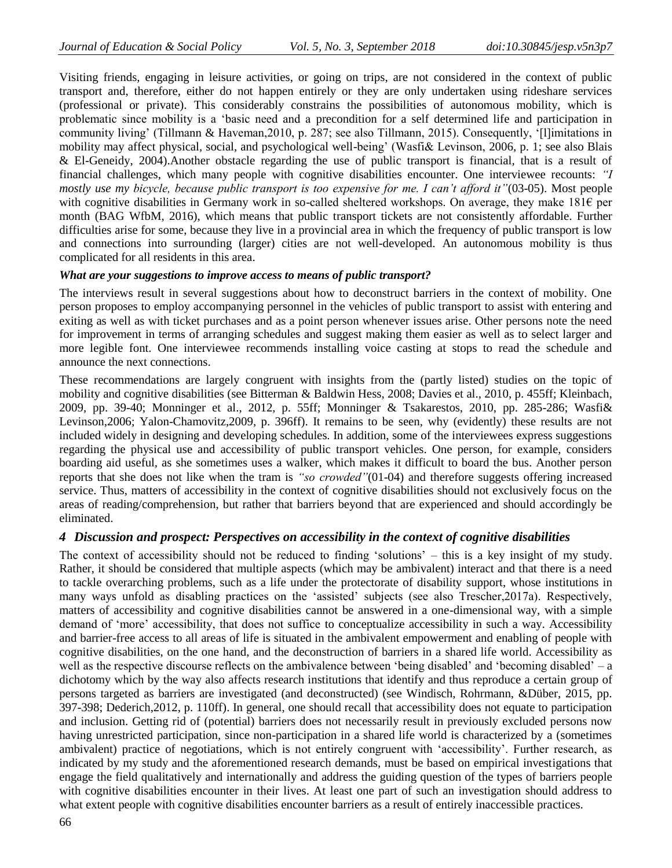Visiting friends, engaging in leisure activities, or going on trips, are not considered in the context of public transport and, therefore, either do not happen entirely or they are only undertaken using rideshare services (professional or private). This considerably constrains the possibilities of autonomous mobility, which is problematic since mobility is a "basic need and a precondition for a self determined life and participation in community living" (Tillmann & Haveman,2010, p. 287; see also Tillmann, 2015). Consequently, "[l]imitations in mobility may affect physical, social, and psychological well-being" (Wasfi& Levinson, 2006, p. 1; see also Blais & El-Geneidy, 2004).Another obstacle regarding the use of public transport is financial, that is a result of financial challenges, which many people with cognitive disabilities encounter. One interviewee recounts: *"I mostly use my bicycle, because public transport is too expensive for me. I can"t afford it"*(03-05). Most people with cognitive disabilities in Germany work in so-called sheltered workshops. On average, they make 181€ per month (BAG WfbM, 2016), which means that public transport tickets are not consistently affordable. Further difficulties arise for some, because they live in a provincial area in which the frequency of public transport is low and connections into surrounding (larger) cities are not well-developed. An autonomous mobility is thus complicated for all residents in this area.

#### *What are your suggestions to improve access to means of public transport?*

The interviews result in several suggestions about how to deconstruct barriers in the context of mobility. One person proposes to employ accompanying personnel in the vehicles of public transport to assist with entering and exiting as well as with ticket purchases and as a point person whenever issues arise. Other persons note the need for improvement in terms of arranging schedules and suggest making them easier as well as to select larger and more legible font. One interviewee recommends installing voice casting at stops to read the schedule and announce the next connections.

These recommendations are largely congruent with insights from the (partly listed) studies on the topic of mobility and cognitive disabilities (see Bitterman & Baldwin Hess, 2008; Davies et al., 2010, p. 455ff; Kleinbach, 2009, pp. 39-40; Monninger et al., 2012, p. 55ff; Monninger & Tsakarestos, 2010, pp. 285-286; Wasfi& Levinson,2006; Yalon-Chamovitz,2009, p. 396ff). It remains to be seen, why (evidently) these results are not included widely in designing and developing schedules. In addition, some of the interviewees express suggestions regarding the physical use and accessibility of public transport vehicles. One person, for example, considers boarding aid useful, as she sometimes uses a walker, which makes it difficult to board the bus. Another person reports that she does not like when the tram is *"so crowded"*(01-04) and therefore suggests offering increased service. Thus, matters of accessibility in the context of cognitive disabilities should not exclusively focus on the areas of reading/comprehension, but rather that barriers beyond that are experienced and should accordingly be eliminated.

#### *4 Discussion and prospect: Perspectives on accessibility in the context of cognitive disabilities*

The context of accessibility should not be reduced to finding "solutions" – this is a key insight of my study. Rather, it should be considered that multiple aspects (which may be ambivalent) interact and that there is a need to tackle overarching problems, such as a life under the protectorate of disability support, whose institutions in many ways unfold as disabling practices on the 'assisted' subjects (see also Trescher, 2017a). Respectively, matters of accessibility and cognitive disabilities cannot be answered in a one-dimensional way, with a simple demand of 'more' accessibility, that does not suffice to conceptualize accessibility in such a way. Accessibility and barrier-free access to all areas of life is situated in the ambivalent empowerment and enabling of people with cognitive disabilities, on the one hand, and the deconstruction of barriers in a shared life world. Accessibility as well as the respective discourse reflects on the ambivalence between 'being disabled' and 'becoming disabled' – a dichotomy which by the way also affects research institutions that identify and thus reproduce a certain group of persons targeted as barriers are investigated (and deconstructed) (see Windisch, Rohrmann, &Düber, 2015, pp. 397-398; Dederich,2012, p. 110ff). In general, one should recall that accessibility does not equate to participation and inclusion. Getting rid of (potential) barriers does not necessarily result in previously excluded persons now having unrestricted participation, since non-participation in a shared life world is characterized by a (sometimes ambivalent) practice of negotiations, which is not entirely congruent with "accessibility". Further research, as indicated by my study and the aforementioned research demands, must be based on empirical investigations that engage the field qualitatively and internationally and address the guiding question of the types of barriers people with cognitive disabilities encounter in their lives. At least one part of such an investigation should address to what extent people with cognitive disabilities encounter barriers as a result of entirely inaccessible practices.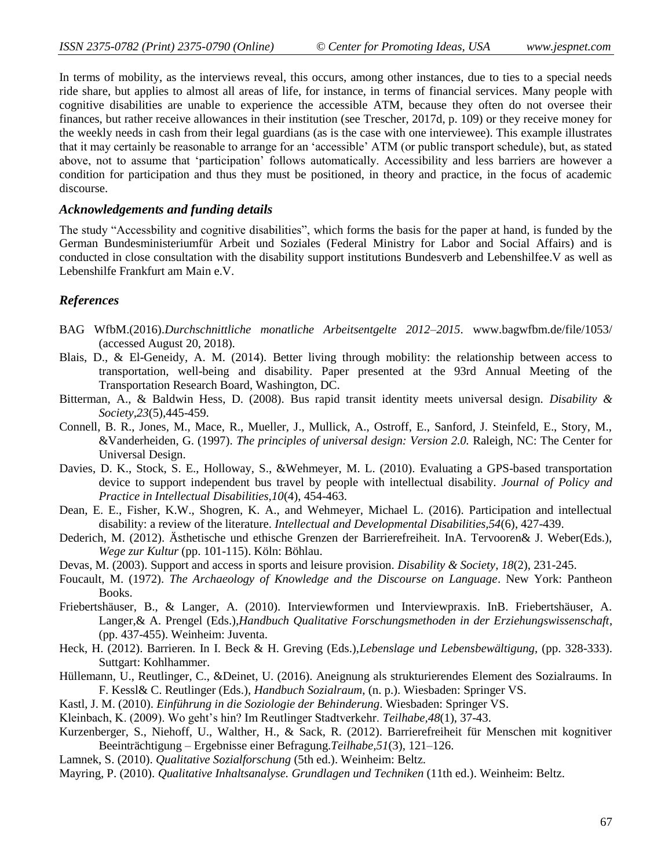In terms of mobility, as the interviews reveal, this occurs, among other instances, due to ties to a special needs ride share, but applies to almost all areas of life, for instance, in terms of financial services. Many people with cognitive disabilities are unable to experience the accessible ATM, because they often do not oversee their finances, but rather receive allowances in their institution (see Trescher, 2017d, p. 109) or they receive money for the weekly needs in cash from their legal guardians (as is the case with one interviewee). This example illustrates that it may certainly be reasonable to arrange for an "accessible" ATM (or public transport schedule), but, as stated above, not to assume that "participation" follows automatically. Accessibility and less barriers are however a condition for participation and thus they must be positioned, in theory and practice, in the focus of academic discourse.

#### *Acknowledgements and funding details*

The study "Accessbility and cognitive disabilities", which forms the basis for the paper at hand, is funded by the German Bundesministeriumfür Arbeit und Soziales (Federal Ministry for Labor and Social Affairs) and is conducted in close consultation with the disability support institutions Bundesverb and Lebenshilfee.V as well as Lebenshilfe Frankfurt am Main e.V.

#### *References*

- BAG WfbM.(2016).*Durchschnittliche monatliche Arbeitsentgelte 2012–2015*. www.bagwfbm.de/file/1053/ (accessed August 20, 2018).
- Blais, D., & El-Geneidy, A. M. (2014). Better living through mobility: the relationship between access to transportation, well-being and disability. Paper presented at the 93rd Annual Meeting of the Transportation Research Board, Washington, DC.
- Bitterman, A., & Baldwin Hess, D. (2008). Bus rapid transit identity meets universal design. *Disability & Society,23*(5),445-459.
- Connell, B. R., Jones, M., Mace, R., Mueller, J., Mullick, A., Ostroff, E., Sanford, J. Steinfeld, E., Story, M., &Vanderheiden, G. (1997). *The principles of universal design: Version 2.0.* Raleigh, NC: The Center for Universal Design.
- Davies, D. K., Stock, S. E., Holloway, S., &Wehmeyer, M. L. (2010). Evaluating a GPS-based transportation device to support independent bus travel by people with intellectual disability. *Journal of Policy and Practice in Intellectual Disabilities,10*(4), 454-463.
- Dean, E. E., Fisher, K.W., Shogren, K. A., and Wehmeyer, Michael L. (2016). Participation and intellectual disability: a review of the literature. *Intellectual and Developmental Disabilities,54*(6), 427-439.
- Dederich, M. (2012). Ästhetische und ethische Grenzen der Barrierefreiheit. InA. Tervooren& J. Weber(Eds.), *Wege zur Kultur* (pp. 101-115). Köln: Böhlau.
- Devas, M. (2003). Support and access in sports and leisure provision. *Disability & Society, 18*(2), 231-245.
- Foucault, M. (1972). *The Archaeology of Knowledge and the Discourse on Language*. New York: Pantheon Books.
- Friebertshäuser, B., & Langer, A. (2010). Interviewformen und Interviewpraxis. InB. Friebertshäuser, A. Langer,& A. Prengel (Eds.),*Handbuch Qualitative Forschungsmethoden in der Erziehungswissenschaft*, (pp. 437-455). Weinheim: Juventa.
- Heck, H. (2012). Barrieren. In I. Beck & H. Greving (Eds.),*Lebenslage und Lebensbewältigung*, (pp. 328-333). Suttgart: Kohlhammer.
- Hüllemann, U., Reutlinger, C., &Deinet, U. (2016). Aneignung als strukturierendes Element des Sozialraums. In F. Kessl& C. Reutlinger (Eds.), *Handbuch Sozialraum*, (n. p.). Wiesbaden: Springer VS.
- Kastl, J. M. (2010). *Einführung in die Soziologie der Behinderung*. Wiesbaden: Springer VS.
- Kleinbach, K. (2009). Wo geht"s hin? Im Reutlinger Stadtverkehr. *Teilhabe,48*(1), 37-43.
- Kurzenberger, S., Niehoff, U., Walther, H., & Sack, R. (2012). Barrierefreiheit für Menschen mit kognitiver Beeinträchtigung – Ergebnisse einer Befragung.*Teilhabe,51*(3), 121–126.
- Lamnek, S. (2010). *Qualitative Sozialforschung* (5th ed.). Weinheim: Beltz.
- Mayring, P. (2010). *Qualitative Inhaltsanalyse. Grundlagen und Techniken* (11th ed.). Weinheim: Beltz.